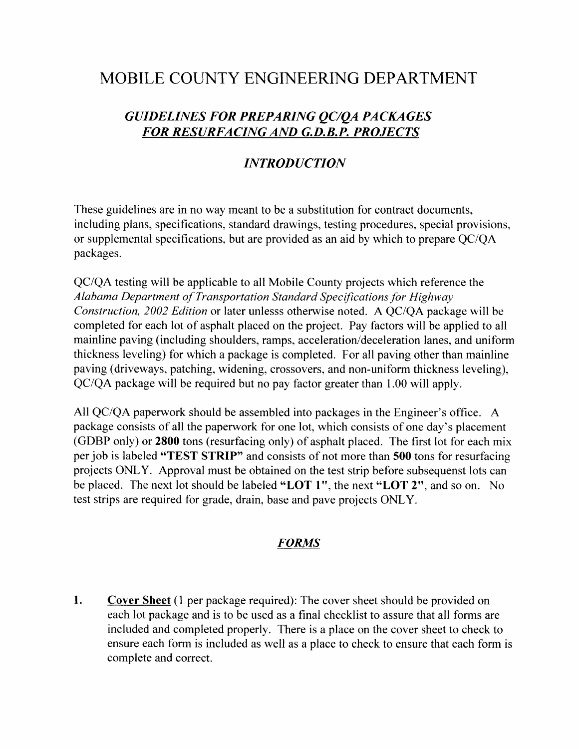# MOBILE COUNTY ENGINEERING DEPARTMENT

# GUIDELINES FOR PREPARING OC/OA PACKAGES FOR RESURFACING AND G.D.B.P. PROJECTS

# INTRODUCTION

These guidelines are in no way meant to be a substitution for contract documents, including plans, specifications. standard drawings, testing procedures, special provisions, or supplemental specifications, but are provided as an aid by which to prepare QC/QA packages.

QC/QA testing will be applicable to all Mobile County projects which reference the Alabama Department of Transportation Standard Specifications for Highway Construction, 2002 Edition or later unlesss otherwise noted. A QC/QA package will be completed for each lot of asphalt placed on the project. Pay factors will be applied to all mainline paving (including shoulders, ramps, acceleration/deceleration lanes, and uniform thickness leveling) for which a package is cornpleted. For all paving other than mainline paving (driveways, patching, widening, crossovers, and non-uniform thickness leveling), QC/QA package will be required but no pay factor greater than 1.00 will apply.

All QC/QA paperwork should be assembled into packages in the Engineer's office. A package consists of all the paperwork for one lot, whioh consists of one day's placement (GDBP only) or 2800 tons (resurfacing only) of asphalt placed. The first lot for each mix per job is labeled "TEST STRIP" and consists of not more than 500 tons for resurfacing projects ONLY. Approval must be obtained on the test strip before subsequenst lots can be placed. The next lot should be labeled "LOT 1", the next "LOT 2", and so on. No test strips are required for grade, drain, base and pave projects ONLY.

#### FORMS

Cover Sheet (1 per package required): The cover sheet should be provided on each lot package and is to be used as a final checklist to assure that all forms are included and completed properly. There is a place on the cover sheet to check to ensure each form is included as well as a place to check to ensure that each form is complete and correct. 1.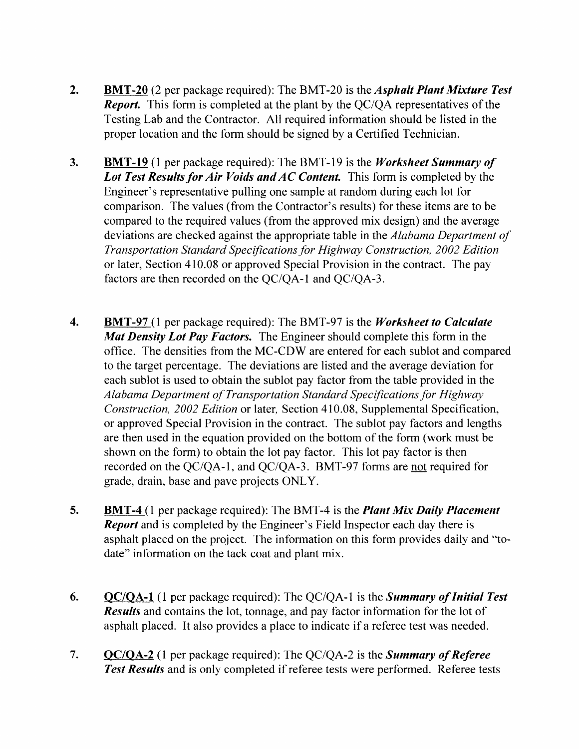- 2. BMT-20 (2 per package required): The BMT-20 is the *Asphalt Plant Mixture Test* **Report.** This form is completed at the plant by the QC/QA representatives of the Testing Lab and the Contractor. All required information should be listed in the proper location and the form should be signed by a Certified Technician.
- BMT-19 (1 per package required): The BMT-19 is the *Worksheet Summary of* Lot Test Results for Air Voids and AC Content. This form is completed by the Engineer's representative pulling one sample at random during each lot for comparison. The values (from the Contractor's results) for these items are to be compared to the required values (from the approved mix design) and the average deviations are checked against the appropriate table in the *Alabama Department of* Transportation Standard Specifications for Highway Construction, 2002 Edition or later, Section 410.08 or approved Special Provision in the contract. The pay factors are then recorded on the QC/QA-1 and QC/QA-3. 3.
- BMT-97 (1 per package required): The BMT-97 is the *Worksheet to Calculate* Mat Density Lot Pay Factors. The Engineer should complete this form in the office. The densities from the MC-CDW are entered for each sublot and compared to the target percentage. The deviations are listed and the average deviation for each sublot is used to obtain the sublot pay factor from the table provided in the Alabama Department of Transportation Standard Specifications for Highway Construction, 2002 Edition or later, Section 410.08, Supplemental Specification, or approved Special Provision in the contract. The sublot pay factors and lengths are then used in the equation provided on the bottom of the form (work must be shown on the form) to obtain the lot pay factor. This lot pay factor is then recorded on the QC/QA-1, and QC/QA-3. BMT-97 forms are not required for grade, drain, base and pave projects ONLY. 4.
- **BMT-4** (1 per package required): The BMT-4 is the *Plant Mix Daily Placement* **Report** and is completed by the Engineer's Field Inspector each day there is asphalt placed on the project. The information on this form provides daily and "todate" information on the tack coat and plant mix. J.
- $QC/QA-1$  (1 per package required): The  $QC/QA-1$  is the **Summary of Initial Test** Results and contains the lot, tonnage, and pay factor information for the lot of asphalt placed. It also provides a place to indicate if a referee test was needed. 6.
- QC/QA-2 (1 per package required): The QC/QA-2 is the **Summary of Referee Test Results** and is only completed if referee tests were performed. Referee tests 7.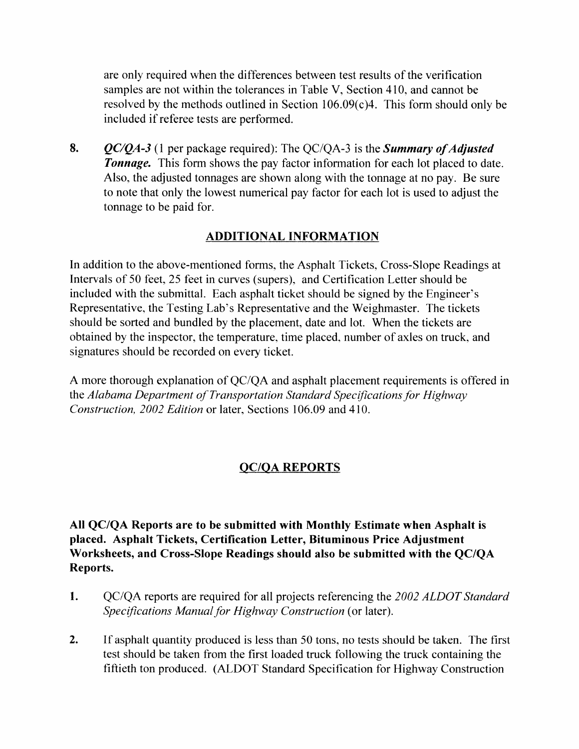are only required when the differences between test results of the verification samples are not within the tolerances in Table V, Section 410, and cannot be resolved by the methods outlined in Section  $106.09(c)4$ . This form should only be included if referee tests are performed.

8.  $QC/QA-3$  (1 per package required): The QC/QA-3 is the **Summary of Adjusted Tonnage.** This form shows the pay factor information for each lot placed to date. Also, the adjusted tonnages are shown along with the tonnage at no pay. Be sure to note that only the lowest numerical pay factor for each lot is used to adjust the tonnage to be paid for.

## ADDITIONAL INFORMATION

In addition to the above-mentioned forms, the Asphalt Tickets, Cross-Slope Readings at Intervals of 50 feet, 25 feet in curves (supers), and Certification Letter should be included with the submittal. Each asphalt ticket should be signed by the Engineer's Representative, the Testing Lab's Representative and the Weighmaster. The tickets should be sorted and bundled by the placement, date and lot. When the tickets are obtained by the inspector, the temperature, time placed, number of axles on truck, and signatures should be recorded on every ticket.

A more thorough explanation of QC/QA and asphalt placement requirements is offered in the Alabama Department of Transportation Standard Specffications for Highway Construction, 2002 Edition or later, Sections 106.09 and 410.

## QC/OA REPORTS

All QC/QA Reports are to be submitted with Monthly Estimate when Asphalt is placed. Asphalt Tickets, Certification Letter, Bituminous Price Adjustment Worksheets, and Cross-Slope Readings should also be submitted with the QC/QA Reports.

- 1. QC/QA reports are required for all projects referencing the 2002 ALDOT Standard Specifications Manual for Highway Construction (or later).
- 2. If asphalt quantity produced is less than 50 tons, no tests should be taken. The first test should be taken from the first loaded truck following the truck containing the fiftieth ton produced. (ALDOT Standard Specification for Highway Construction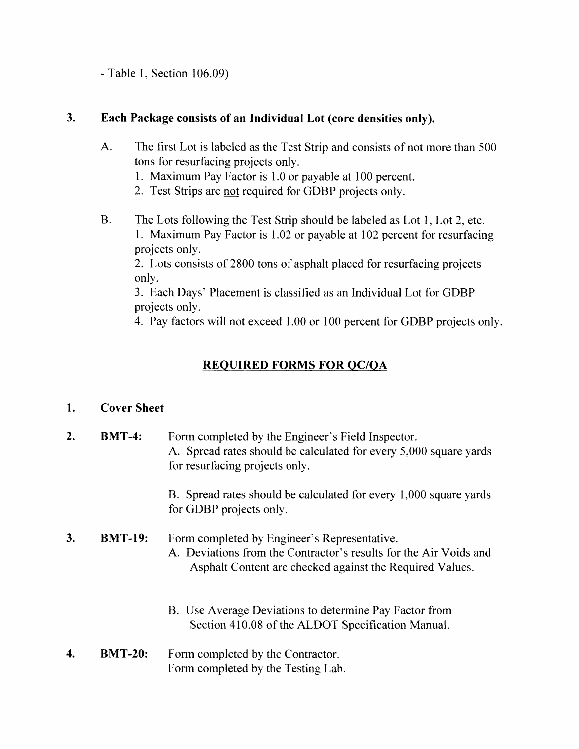- Table 1, Section 106.09)

#### 3. Each Package consists of an Individual Lot (core densities only).

- A. The first Lot is labeled as the Test Strip and consists of not more than 500 tons for resurfacing projects only.
	- l. Maxirnum Pay Factor is I .0 or payable at 100 percent.
	- 2. Test Strips are not required for GDBP projects only.
- B. The Lots following the Test Strip should be labeled as Lot 1, Lot 2, etc. 1. Maximum Pay Factor is 1.02 or payable at 102 percent for resurfacing projects only.

2. Lots consists of 2800 tons of asphalt placed for resurfacing projects only.

3. Each Days' Placement is classified as an Individual Lot for GDBP projects only.

4. Pay factors will not exceed 1.00 or 100 percent for GDBP projects only.

## REQUIRED FORMS FOR QC/QA

#### 1. Cover Sheet

| $\overline{2}$ . | <b>BMT-4:</b>  | Form completed by the Engineer's Field Inspector.<br>A. Spread rates should be calculated for every 5,000 square yards<br>for resurfacing projects only.                      |
|------------------|----------------|-------------------------------------------------------------------------------------------------------------------------------------------------------------------------------|
|                  |                | B. Spread rates should be calculated for every 1,000 square yards<br>for GDBP projects only.                                                                                  |
| 3.               | <b>BMT-19:</b> | Form completed by Engineer's Representative.<br>A. Deviations from the Contractor's results for the Air Voids and<br>Asphalt Content are checked against the Required Values. |
|                  |                | B. Use Average Deviations to determine Pay Factor from<br>Section 410.08 of the ALDOT Specification Manual.                                                                   |
| 4.               | <b>BMT-20:</b> | Form completed by the Contractor.                                                                                                                                             |

Form completed by the Testing Lab.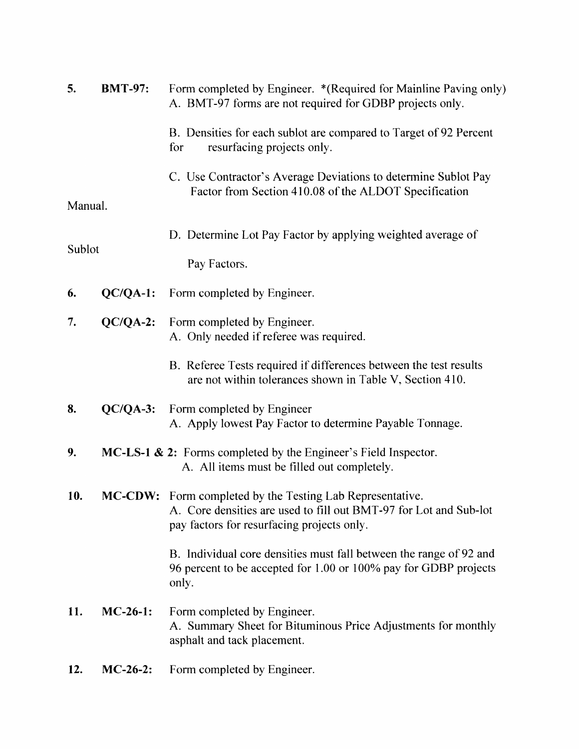| 5.      | <b>BMT-97:</b> | Form completed by Engineer. * (Required for Mainline Paving only)<br>A. BMT-97 forms are not required for GDBP projects only.                                                       |
|---------|----------------|-------------------------------------------------------------------------------------------------------------------------------------------------------------------------------------|
|         |                | B. Densities for each sublot are compared to Target of 92 Percent<br>resurfacing projects only.<br>for                                                                              |
| Manual. |                | C. Use Contractor's Average Deviations to determine Sublot Pay<br>Factor from Section 410.08 of the ALDOT Specification                                                             |
| Sublot  |                | D. Determine Lot Pay Factor by applying weighted average of<br>Pay Factors.                                                                                                         |
| 6.      | $QC/QA-1$ :    | Form completed by Engineer.                                                                                                                                                         |
| 7.      | $QC/QA-2$ :    | Form completed by Engineer.<br>A. Only needed if referee was required.                                                                                                              |
|         |                | B. Referee Tests required if differences between the test results<br>are not within tolerances shown in Table V, Section 410.                                                       |
| 8.      | $QC/QA-3$ :    | Form completed by Engineer<br>A. Apply lowest Pay Factor to determine Payable Tonnage.                                                                                              |
| 9.      |                | $MC$ -LS-1 $\&$ 2: Forms completed by the Engineer's Field Inspector.<br>A. All items must be filled out completely.                                                                |
| 10.     |                | <b>MC-CDW:</b> Form completed by the Testing Lab Representative.<br>A. Core densities are used to fill out BMT-97 for Lot and Sub-lot<br>pay factors for resurfacing projects only. |
|         |                | B. Individual core densities must fall between the range of 92 and<br>96 percent to be accepted for 1.00 or 100% pay for GDBP projects<br>only.                                     |
| 11.     | $MC-26-1:$     | Form completed by Engineer.<br>A. Summary Sheet for Bituminous Price Adjustments for monthly<br>asphalt and tack placement.                                                         |
| 12.     | $MC-26-2:$     | Form completed by Engineer.                                                                                                                                                         |